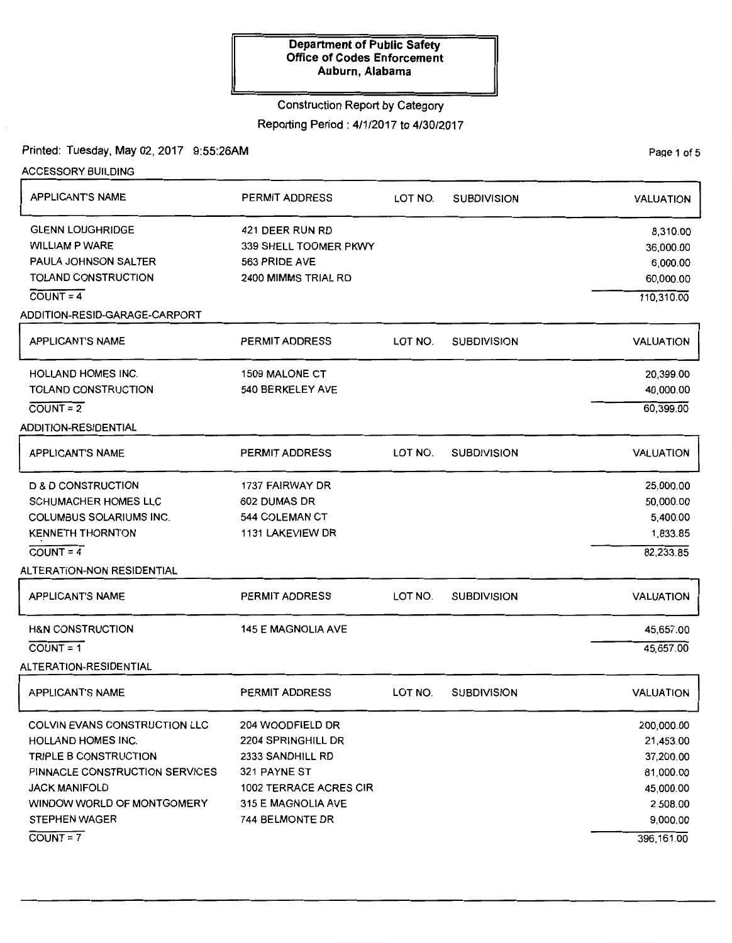### Construction Report by Category

Reporting Period : 4/1/2017 to 4/30/2017

Printed: Tuesday, May 02, 2017 9:55:26AM

PaQe 1 of 5

| <b>ACCESSORY BUILDING</b>            |                           |         |                    |                  |
|--------------------------------------|---------------------------|---------|--------------------|------------------|
| APPLICANT'S NAME                     | PERMIT ADDRESS            | LOT NO. | <b>SUBDIVISION</b> | <b>VALUATION</b> |
| <b>GLENN LOUGHRIDGE</b>              | 421 DEER RUN RD           |         |                    | 8,310.00         |
| <b>WILLIAM P WARE</b>                | 339 SHELL TOOMER PKWY     |         |                    | 36,000.00        |
| PAULA JOHNSON SALTER                 | 563 PRIDE AVE             |         |                    | 6,000.00         |
| TOLAND CONSTRUCTION                  | 2400 MIMMS TRIAL RD       |         |                    | 60,000.00        |
| $COUNT = 4$                          |                           |         |                    | 110,310.00       |
| ADDITION-RESID-GARAGE-CARPORT        |                           |         |                    |                  |
| <b>APPLICANT'S NAME</b>              | <b>PERMIT ADDRESS</b>     | LOT NO. | <b>SUBDIVISION</b> | <b>VALUATION</b> |
| <b>HOLLAND HOMES INC.</b>            | <b>1509 MALONE CT</b>     |         |                    | 20,399.00        |
| TOLAND CONSTRUCTION                  | 540 BERKELEY AVE          |         |                    | 40,000.00        |
| $COUNT = 2$                          |                           |         |                    | 60,399.00        |
| ADDITION-RESIDENTIAL                 |                           |         |                    |                  |
| <b>APPLICANT'S NAME</b>              | <b>PERMIT ADDRESS</b>     | LOT NO. | <b>SUBDIVISION</b> | <b>VALUATION</b> |
| <b>D &amp; D CONSTRUCTION</b>        | 1737 FAIRWAY DR           |         |                    | 25,000.00        |
| <b>SCHUMACHER HOMES LLC</b>          | 602 DUMAS DR              |         |                    | 50,000.00        |
| <b>COLUMBUS SOLARIUMS INC.</b>       | 544 COLEMAN CT            |         |                    | 5,400.00         |
| <b>KENNETH THORNTON</b>              | 1131 LAKEVIEW DR          |         |                    | 1,833.85         |
| $COUNT = 4$                          |                           |         |                    | 82,233.85        |
| <b>ALTERATION-NON RESIDENTIAL</b>    |                           |         |                    |                  |
| <b>APPLICANT'S NAME</b>              | <b>PERMIT ADDRESS</b>     | LOT NO. | <b>SUBDIVISION</b> | VALUATION        |
| <b>H&amp;N CONSTRUCTION</b>          | <b>145 E MAGNOLIA AVE</b> |         |                    | 45,657.00        |
| $COUNT = 1$                          |                           |         |                    | 45,657.00        |
| ALTERATION-RESIDENTIAL               |                           |         |                    |                  |
| <b>APPLICANT'S NAME</b>              | <b>PERMIT ADDRESS</b>     | LOT NO. | <b>SUBDIVISION</b> | <b>VALUATION</b> |
| <b>COLVIN EVANS CONSTRUCTION LLC</b> | 204 WOODFIELD DR          |         |                    | 200,000.00       |
| <b>HOLLAND HOMES INC.</b>            | 2204 SPRINGHILL DR        |         |                    | 21,453.00        |
| TRIPLE B CONSTRUCTION                | 2333 SANDHILL RD          |         |                    | 37,200.00        |
| PINNACLE CONSTRUCTION SERVICES       | 321 PAYNE ST              |         |                    | 81,000.00        |
| JACK MANIFOLD                        | 1002 TERRACE ACRES CIR    |         |                    | 45,000.00        |
| WINDOW WORLD OF MONTGOMERY           | 315 E MAGNOLIA AVE        |         |                    | 2,508.00         |
| <b>STEPHEN WAGER</b>                 | 744 BELMONTE DR           |         |                    | 9,000.00         |
| $\overline{COUNT} = 7$               |                           |         |                    | 396, 161.00      |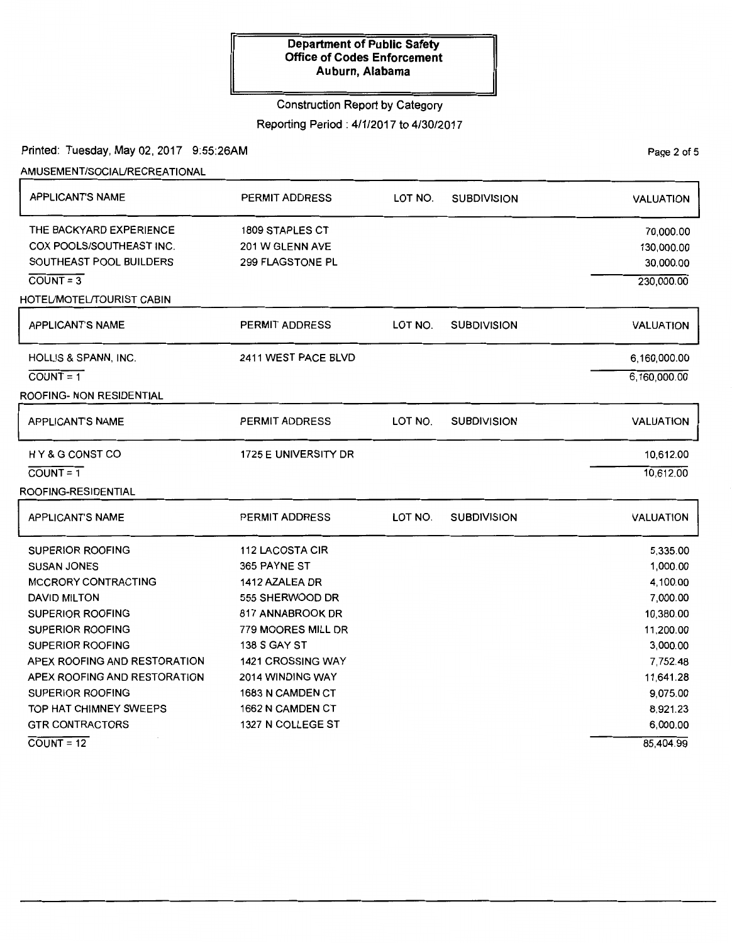### Construction Report by Category

Reporting Period : 4/1/2017 to 4/30/2017

Printed: Tuesday, May 02, 2017 9:55:26AM

AMUSEMENT/SOCIAURECREATIONAL

| <b>APPLICANT'S NAME</b>      | <b>PERMIT ADDRESS</b>    | LOT NO. | <b>SUBDIVISION</b> | <b>VALUATION</b> |
|------------------------------|--------------------------|---------|--------------------|------------------|
| THE BACKYARD EXPERIENCE      | <b>1809 STAPLES CT</b>   |         |                    | 70,000.00        |
| COX POOLS/SOUTHEAST INC.     | 201 W GLENN AVE          |         |                    | 130,000.00       |
| SOUTHEAST POOL BUILDERS      | 299 FLAGSTONE PL         |         |                    | 30,000.00        |
| $COUNT = 3$                  |                          |         |                    | 230,000.00       |
| HOTEL/MOTEL/TOURIST CABIN    |                          |         |                    |                  |
| <b>APPLICANT'S NAME</b>      | PERMIT ADDRESS           | LOT NO. | <b>SUBDIVISION</b> | <b>VALUATION</b> |
| HOLLIS & SPANN, INC.         | 2411 WEST PACE BLVD      |         |                    | 6,160,000.00     |
| $COUNT = 1$                  |                          |         |                    | 6,160,000.00     |
| ROOFING- NON RESIDENTIAL     |                          |         |                    |                  |
| <b>APPLICANT'S NAME</b>      | <b>PERMIT ADDRESS</b>    | LOT NO. | <b>SUBDIVISION</b> | <b>VALUATION</b> |
| HY&G CONST CO                | 1725 E UNIVERSITY DR     |         |                    | 10,612.00        |
| $\overline{COUNT} = 1$       |                          |         |                    | 10,612.00        |
| ROOFING-RESIDENTIAL          |                          |         |                    |                  |
| <b>APPLICANT'S NAME</b>      | PERMIT ADDRESS           | LOT NO. | <b>SUBDIVISION</b> | <b>VALUATION</b> |
| <b>SUPERIOR ROOFING</b>      | 112 LACOSTA CIR          |         |                    | 5,335.00         |
| <b>SUSAN JONES</b>           | 365 PAYNE ST             |         |                    | 1,000.00         |
| MCCRORY CONTRACTING          | 1412 AZALEA DR           |         |                    | 4,100.00         |
| <b>DAVID MILTON</b>          | 555 SHERWOOD DR          |         |                    | 7,000.00         |
| <b>SUPERIOR ROOFING</b>      | 817 ANNABROOK DR         |         |                    | 10,380.00        |
| <b>SUPERIOR ROOFING</b>      | 779 MOORES MILL DR       |         |                    | 11,200.00        |
| <b>SUPERIOR ROOFING</b>      | <b>138 S GAY ST</b>      |         |                    | 3,000.00         |
| APEX ROOFING AND RESTORATION | <b>1421 CROSSING WAY</b> |         |                    | 7,752.48         |
| APEX ROOFING AND RESTORATION | 2014 WINDING WAY         |         |                    | 11,641.28        |
| <b>SUPERIOR ROOFING</b>      | 1683 N CAMDEN CT         |         |                    | 9,075.00         |
| TOP HAT CHIMNEY SWEEPS       | 1662 N CAMDEN CT         |         |                    | 8,921.23         |
| <b>GTR CONTRACTORS</b>       | 1327 N COLLEGE ST        |         |                    | 6,000.00         |
| $COUNT = 12$                 |                          |         |                    | 85,404.99        |

PaQe 2 of 5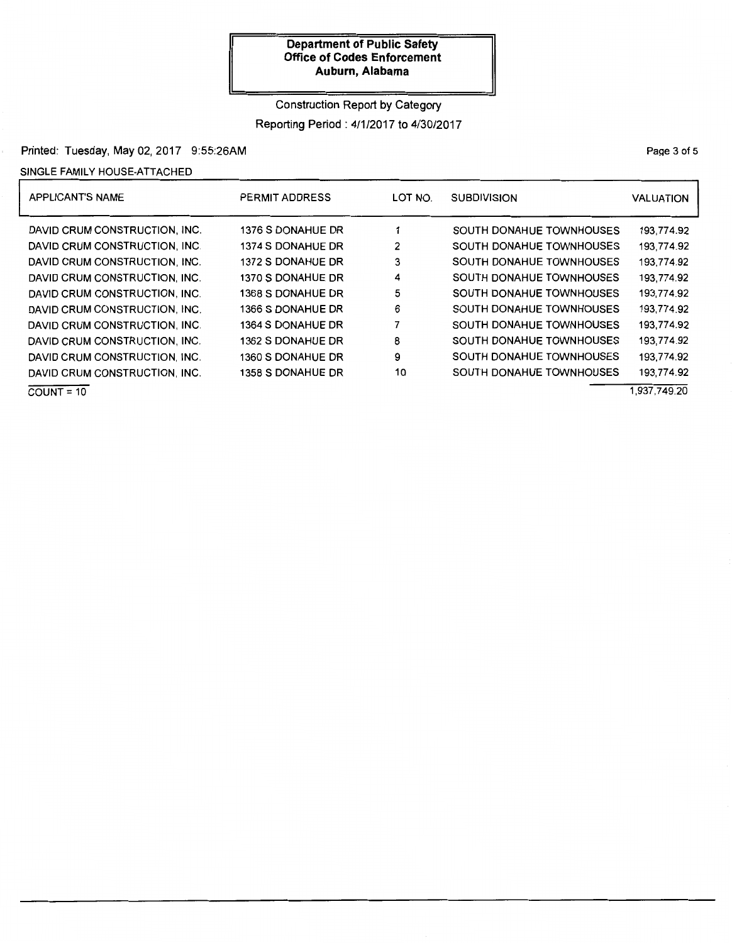Construction Report by Category

Reporting Period: 4/1/2017 to 4/30/2017

## Printed: Tuesday, May 02, 2017 9:55:26AM

### SINGLE FAMILY HOUSE-ATTACHED

| <b>APPLICANT'S NAME</b>       | PERMIT ADDRESS           | LOT NO. | <b>SUBDIVISION</b>              | <b>VALUATION</b> |
|-------------------------------|--------------------------|---------|---------------------------------|------------------|
| DAVID CRUM CONSTRUCTION, INC. | <b>1376 S DONAHUE DR</b> |         | <b>SOUTH DONAHUE TOWNHOUSES</b> | 193,774.92       |
| DAVID CRUM CONSTRUCTION, INC. | 1374 S DONAHUE DR        | 2       | <b>SOUTH DONAHUE TOWNHOUSES</b> | 193,774.92       |
| DAVID CRUM CONSTRUCTION, INC. | 1372 S DONAHUE DR        | 3       | <b>SOUTH DONAHUE TOWNHOUSES</b> | 193,774.92       |
| DAVID CRUM CONSTRUCTION, INC. | 1370 S DONAHUE DR        | 4       | <b>SOUTH DONAHUE TOWNHOUSES</b> | 193.774.92       |
| DAVID CRUM CONSTRUCTION, INC. | 1368 S DONAHUE DR        | 5       | <b>SOUTH DONAHUE TOWNHOUSES</b> | 193,774.92       |
| DAVID CRUM CONSTRUCTION, INC. | 1366 S DONAHUE DR        | 6       | <b>SOUTH DONAHUE TOWNHOUSES</b> | 193,774.92       |
| DAVID CRUM CONSTRUCTION, INC. | 1364 S DONAHUE DR        | 7       | <b>SOUTH DONAHUE TOWNHOUSES</b> | 193.774.92       |
| DAVID CRUM CONSTRUCTION, INC. | <b>1362 S DONAHUE DR</b> | 8       | <b>SOUTH DONAHUE TOWNHOUSES</b> | 193,774.92       |
| DAVID CRUM CONSTRUCTION, INC. | 1360 S DONAHUE DR        | 9       | <b>SOUTH DONAHUE TOWNHOUSES</b> | 193.774.92       |
| DAVID CRUM CONSTRUCTION, INC. | 1358 S DONAHUE DR        | 10      | <b>SOUTH DONAHUE TOWNHOUSES</b> | 193.774.92       |
| $COUNT = 10$                  |                          |         |                                 | 1.937.749.20     |

PaQe 3 of 5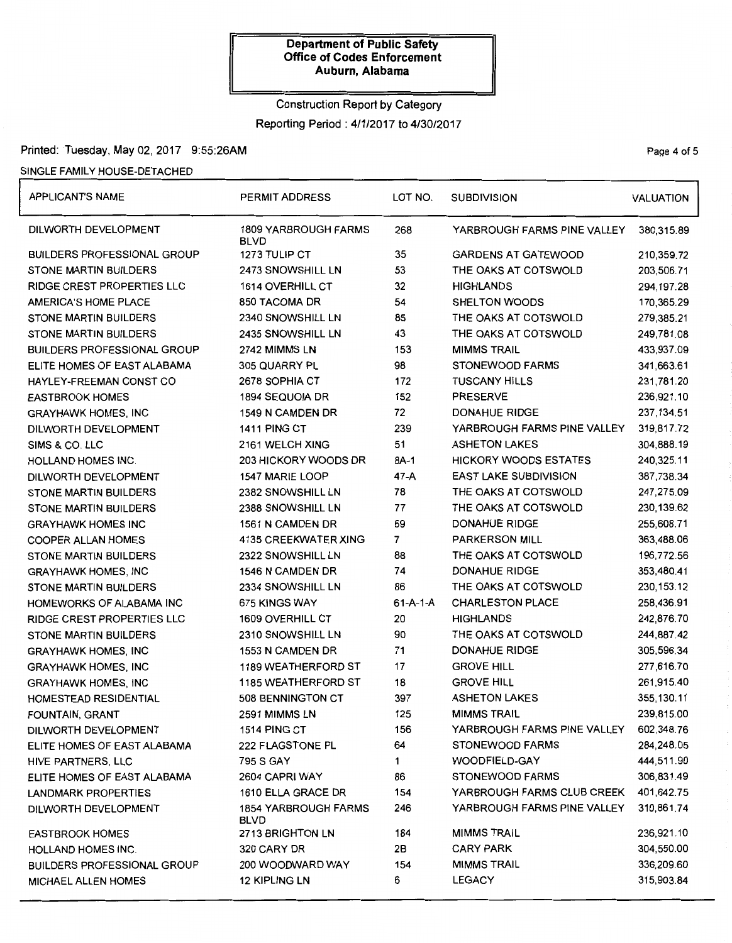# Construction Report by Category Reporting Period: 4/1/2017 to 4/30/2017

### Printed: Tuesday, May 02, 2017 9:55:26AM Page 4 of 5

### SINGLE FAMILY HOUSE-DETACHED

| <b>APPLICANT'S NAME</b>            | <b>PERMIT ADDRESS</b>                      | LOT NO.          | <b>SUBDIVISION</b>           |              |
|------------------------------------|--------------------------------------------|------------------|------------------------------|--------------|
| DILWORTH DEVELOPMENT               | <b>1809 YARBROUGH FARMS</b><br><b>BLVD</b> | 268              | YARBROUGH FARMS PINE VALLEY  | 380,315.89   |
| <b>BUILDERS PROFESSIONAL GROUP</b> | 1273 TULIP CT                              | 35               | <b>GARDENS AT GATEWOOD</b>   | 210,359.72   |
| <b>STONE MARTIN BUILDERS</b>       | 2473 SNOWSHILL LN                          | 53               | THE OAKS AT COTSWOLD         | 203,506.71   |
| RIDGE CREST PROPERTIES LLC         | <b>1614 OVERHILL CT</b>                    | 32               | <b>HIGHLANDS</b>             | 294,197.28   |
| AMERICA'S HOME PLACE               | 850 TACOMA DR                              | 54               | <b>SHELTON WOODS</b>         | 170,365.29   |
| <b>STONE MARTIN BUILDERS</b>       | 2340 SNOWSHILL LN                          | 85               | THE OAKS AT COTSWOLD         | 279,385.21   |
| <b>STONE MARTIN BUILDERS</b>       | 2435 SNOWSHILL LN                          | 43               | THE OAKS AT COTSWOLD         | 249,781.08   |
| <b>BUILDERS PROFESSIONAL GROUP</b> | 2742 MIMMS LN                              | 153              | <b>MIMMS TRAIL</b>           | 433,937.09   |
| ELITE HOMES OF EAST ALABAMA        | 305 QUARRY PL                              | 98               | STONEWOOD FARMS              | 341,663.61   |
| HAYLEY-FREEMAN CONST CO            | 2678 SOPHIA CT                             | 172              | <b>TUSCANY HILLS</b>         | 231,781.20   |
| <b>EASTBROOK HOMES</b>             | 1894 SEQUOIA DR                            | 152              | <b>PRESERVE</b>              | 236,921.10   |
| <b>GRAYHAWK HOMES, INC</b>         | 1549 N CAMDEN DR                           | 72               | <b>DONAHUE RIDGE</b>         | 237, 134.51  |
| DILWORTH DEVELOPMENT               | 1411 PING CT                               | 239              | YARBROUGH FARMS PINE VALLEY  | 319,817.72   |
| SIMS & CO. LLC                     | 2161 WELCH XING                            | 51               | <b>ASHETON LAKES</b>         | 304,888.19   |
| HOLLAND HOMES INC.                 | 203 HICKORY WOODS DR                       | 8A-1             | <b>HICKORY WOODS ESTATES</b> | 240,325.11   |
| DILWORTH DEVELOPMENT               | 1547 MARIE LOOP                            | 47-A             | <b>EAST LAKE SUBDIVISION</b> | 387,738.34   |
| STONE MARTIN BUILDERS              | 2382 SNOWSHILL LN                          | 78               | THE OAKS AT COTSWOLD         | 247,275.09   |
| <b>STONE MARTIN BUILDERS</b>       | 2388 SNOWSHILL LN                          | 77               | THE OAKS AT COTSWOLD         | 230,139.62   |
| <b>GRAYHAWK HOMES INC</b>          | 1561 N CAMDEN DR                           | 69               | <b>DONAHUE RIDGE</b>         | 255,608.71   |
| <b>COOPER ALLAN HOMES</b>          | 4135 CREEKWATER XING                       | $\overline{7}$   | <b>PARKERSON MILL</b>        | 363,488.06   |
| <b>STONE MARTIN BUILDERS</b>       | 2322 SNOWSHILL LN                          | 88               | THE OAKS AT COTSWOLD         | 196,772.56   |
| <b>GRAYHAWK HOMES, INC</b>         | 1546 N CAMDEN DR                           | 74               | <b>DONAHUE RIDGE</b>         | 353,480.41   |
| <b>STONE MARTIN BUILDERS</b>       | 2334 SNOWSHILL LN                          | 86               | THE OAKS AT COTSWOLD         | 230, 153. 12 |
| HOMEWORKS OF ALABAMA INC           | 675 KINGS WAY                              | $61 - A - 1 - A$ | <b>CHARLESTON PLACE</b>      | 258,436.91   |
| <b>RIDGE CREST PROPERTIES LLC</b>  | 1609 OVERHILL CT                           | 20               | <b>HIGHLANDS</b>             | 242,876.70   |
| STONE MARTIN BUILDERS              | 2310 SNOWSHILL LN                          | 90               | THE OAKS AT COTSWOLD         | 244,887.42   |
| <b>GRAYHAWK HOMES, INC</b>         | 1553 N CAMDEN DR                           | 71               | <b>DONAHUE RIDGE</b>         | 305,596.34   |
| <b>GRAYHAWK HOMES, INC</b>         | <b>1189 WEATHERFORD ST</b>                 | 17               | <b>GROVE HILL</b>            | 277,616.70   |
| <b>GRAYHAWK HOMES, INC</b>         | <b>1185 WEATHERFORD ST</b>                 | 18               | <b>GROVE HILL</b>            | 261,915.40   |
| HOMESTEAD RESIDENTIAL              | 508 BENNINGTON CT                          | 397              | <b>ASHETON LAKES</b>         | 355, 130.11  |
| FOUNTAIN, GRANT                    | 2591 MIMMS LN                              | 125              | <b>MIMMS TRAIL</b>           | 239,815.00   |
| DILWORTH DEVELOPMENT               | 1514 PING CT                               | 156              | YARBROUGH FARMS PINE VALLEY  | 602,348.76   |
| ELITE HOMES OF EAST ALABAMA        | 222 FLAGSTONE PL                           | 64               | STONEWOOD FARMS              | 284,248.05   |
| HIVE PARTNERS, LLC                 | 795 S GAY                                  | 1                | WOODFIELD-GAY                | 444,511.90   |
| ELITE HOMES OF EAST ALABAMA        | 2604 CAPRI WAY                             | 86               | <b>STONEWOOD FARMS</b>       | 306,831.49   |
| LANDMARK PROPERTIES                | 1610 ELLA GRACE DR                         | 154              | YARBROUGH FARMS CLUB CREEK   | 401,642.75   |
| DILWORTH DEVELOPMENT               | <b>1854 YARBROUGH FARMS</b><br>BLVD        | 246              | YARBROUGH FARMS PINE VALLEY  | 310,861.74   |
| <b>EASTBROOK HOMES</b>             | 2713 BRIGHTON LN                           | 184              | <b>MIMMS TRAIL</b>           | 236,921.10   |
| HOLLAND HOMES INC.                 | 320 CARY DR                                | 2B               | <b>CARY PARK</b>             | 304,550.00   |
| <b>BUILDERS PROFESSIONAL GROUP</b> | 200 WOODWARD WAY                           | 154              | <b>MIMMS TRAIL</b>           | 336,209.60   |
| MICHAEL ALLEN HOMES                | <b>12 KIPLING LN</b>                       | 6                | LEGACY                       | 315,903.84   |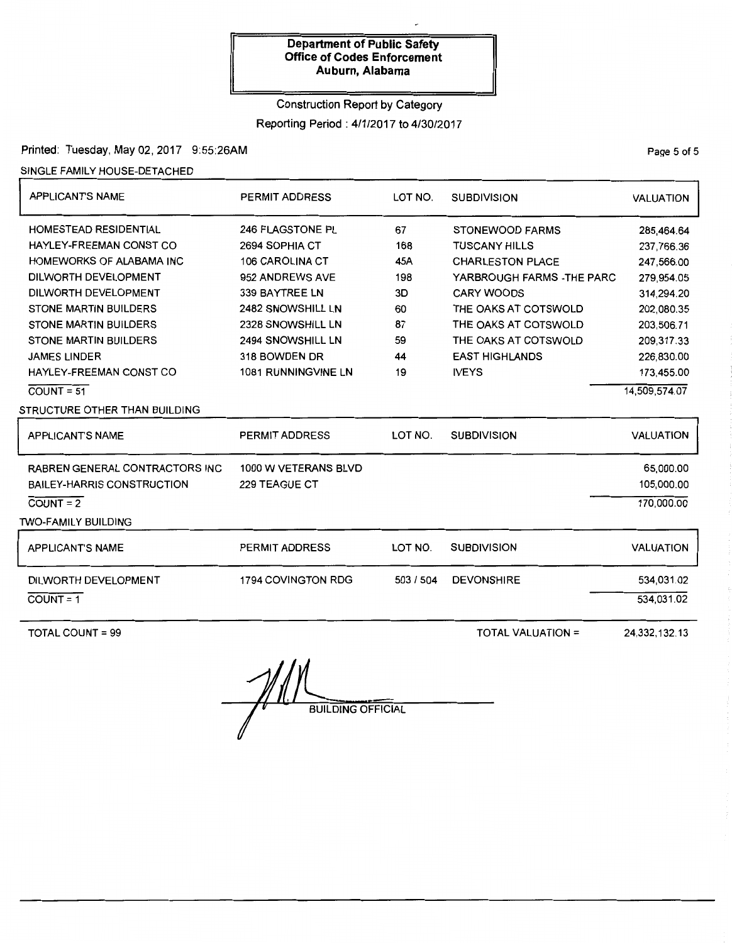# Construction Report by Category

Reporting Period : 4/1/2017 to 4/30/2017

### Printed: Tuesday, May 02, 2017 9:55:26AM

SINGLE FAMILY HOUSE-DETACHED

| <b>APPLICANT'S NAME</b>                | <b>PERMIT ADDRESS</b> | LOT NO.   | <b>SUBDIVISION</b>         | <b>VALUATION</b> |
|----------------------------------------|-----------------------|-----------|----------------------------|------------------|
| <b>HOMESTEAD RESIDENTIAL</b>           | 246 FLAGSTONE PL      | 67        | <b>STONEWOOD FARMS</b>     | 285,464.64       |
| HAYLEY-FREEMAN CONST CO                | 2694 SOPHIA CT        | 168       | <b>TUSCANY HILLS</b>       | 237.766.36       |
| HOMEWORKS OF ALABAMA INC               | 106 CAROLINA CT       | 45A       | <b>CHARLESTON PLACE</b>    | 247,566.00       |
| DILWORTH DEVELOPMENT                   | 952 ANDREWS AVE       | 198       | YARBROUGH FARMS - THE PARC | 279,954.05       |
| DILWORTH DEVELOPMENT                   | 339 BAYTREE LN        | 3D        | <b>CARY WOODS</b>          | 314,294.20       |
| <b>STONE MARTIN BUILDERS</b>           | 2482 SNOWSHILL LN     | 60        | THE OAKS AT COTSWOLD       | 202,080.35       |
| <b>STONE MARTIN BUILDERS</b>           | 2328 SNOWSHILL LN     | 87        | THE OAKS AT COTSWOLD       | 203.506.71       |
| <b>STONE MARTIN BUILDERS</b>           | 2494 SNOWSHILL LN     | 59        | THE OAKS AT COTSWOLD       | 209,317.33       |
| <b>JAMES LINDER</b>                    | 318 BOWDEN DR         | 44        | <b>EAST HIGHLANDS</b>      | 226,830.00       |
| HAYLEY-FREEMAN CONST CO                | 1081 RUNNINGVINE LN   | 19        | <b>IVEYS</b>               | 173,455.00       |
| $COUNT = 51$                           |                       |           |                            | 14,509,574.07    |
| STRUCTURE OTHER THAN BUILDING          |                       |           |                            |                  |
| <b>APPLICANT'S NAME</b>                | PERMIT ADDRESS        | LOT NO.   | <b>SUBDIVISION</b>         | <b>VALUATION</b> |
| <b>RABREN GENERAL CONTRACTORS INC.</b> | 1000 W VETERANS BLVD  |           |                            | 65,000.00        |
| <b>BAILEY-HARRIS CONSTRUCTION</b>      | 229 TEAGUE CT         |           |                            | 105,000.00       |
| $COUNT = 2$                            |                       |           |                            | 170,000.00       |
| <b>TWO-FAMILY BUILDING</b>             |                       |           |                            |                  |
| <b>APPLICANT'S NAME</b>                | PERMIT ADDRESS        | LOT NO.   | <b>SUBDIVISION</b>         | <b>VALUATION</b> |
| DILWORTH DEVELOPMENT                   | 1794 COVINGTON RDG    | 503 / 504 | <b>DEVONSHIRE</b>          | 534,031.02       |
| $COUNT = 1$                            |                       |           |                            | 534,031.02       |
|                                        |                       |           |                            |                  |

TOTAL COUNT= 99

TOTAL VALUATION=

24,332,132.13

 $\mathscr{H}$ **BUILDING OFFICIAL** 

PaQe 5 of 5